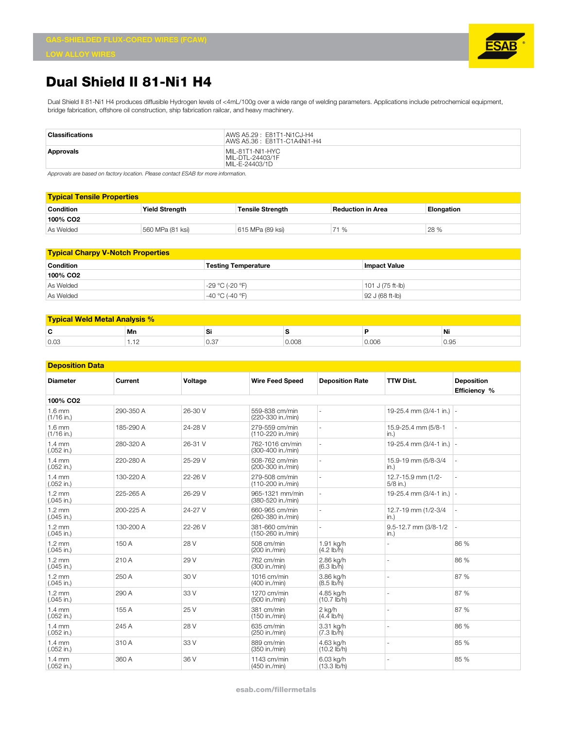

## **Dual Shield II 81-Ni1 H4**

Dual Shield II 81-Ni1 H4 produces diffusible Hydrogen levels of <4mL/100g over a wide range of welding parameters. Applications include petrochemical equipment, bridge fabrication, offshore oil construction, ship fabrication railcar, and heavy machinery.

| <b>Classifications</b> | AWS A5.29 : E81T1-Ni1CJ-H4<br>AWS A5.36: E81T1-C1A4Ni1-H4 |
|------------------------|-----------------------------------------------------------|
| Approvals              | MIL-81T1-NI1-HYC<br>MIL-DTL-24403/1F<br>MIL-E-24403/1D    |

*Approvals are based on factory location. Please contact ESAB for more information.*

| <b>Typical Tensile Properties</b> |                       |                         |                   |            |  |  |
|-----------------------------------|-----------------------|-------------------------|-------------------|------------|--|--|
| <b>Condition</b>                  | <b>Yield Strength</b> | <b>Tensile Strength</b> | Reduction in Area | Elongation |  |  |
| 100% CO <sub>2</sub>              |                       |                         |                   |            |  |  |
| As Welded                         | 560 MPa (81 ksi)      | 615 MPa (89 ksi)        | 71 %              | 28 %       |  |  |

| <b>Typical Charpy V-Notch Properties</b> |                            |                     |  |  |  |
|------------------------------------------|----------------------------|---------------------|--|--|--|
| Condition                                | <b>Testing Temperature</b> | <b>Impact Value</b> |  |  |  |
| 100% CO2                                 |                            |                     |  |  |  |
| As Welded                                | -29 °C (-20 °F)            | $101$ J (75 ft-lb)  |  |  |  |
| As Welded                                | -40 °C (-40 °F)            | $ 92 J (68 ft-lb) $ |  |  |  |

| <b>Typical Weld Metal Analysis %</b> |    |     |  |      |            |  |
|--------------------------------------|----|-----|--|------|------------|--|
| $\overline{\phantom{a}}$             | Mn |     |  |      | .<br>Νi    |  |
| 0.03                                 |    | v.v |  | v.vv | ū٢<br>v.oo |  |

| <b>Deposition Data</b>           |           |         |                                      |                                    |                                  |                                   |
|----------------------------------|-----------|---------|--------------------------------------|------------------------------------|----------------------------------|-----------------------------------|
| <b>Diameter</b>                  | Current   | Voltage | <b>Wire Feed Speed</b>               | <b>Deposition Rate</b>             | <b>TTW Dist.</b>                 | <b>Deposition</b><br>Efficiency % |
| 100% CO <sub>2</sub>             |           |         |                                      |                                    |                                  |                                   |
| $1.6$ mm<br>$(1/16$ in.)         | 290-350 A | 26-30 V | 559-838 cm/min<br>(220-330 in./min)  | $\overline{a}$                     | 19-25.4 mm (3/4-1 in.) -         |                                   |
| $1.6 \text{ mm}$<br>$(1/16$ in.) | 185-290 A | 24-28 V | 279-559 cm/min<br>(110-220 in./min)  |                                    | 15.9-25.4 mm (5/8-1<br>in.)      |                                   |
| $1.4 \text{ mm}$<br>$(.052$ in.) | 280-320 A | 26-31 V | 762-1016 cm/min<br>(300-400 in./min) | ä,                                 | 19-25.4 mm $(3/4-1$ in.) -       |                                   |
| $1.4 \text{ mm}$<br>$(.052$ in.) | 220-280 A | 25-29 V | 508-762 cm/min<br>(200-300 in./min)  | ä,                                 | 15.9-19 mm (5/8-3/4<br>in.)      |                                   |
| $1.4 \text{ mm}$<br>$(.052$ in.) | 130-220 A | 22-26 V | 279-508 cm/min<br>(110-200 in./min)  | ä,                                 | 12.7-15.9 mm (1/2-<br>$5/8$ in.) |                                   |
| $1.2 \text{ mm}$<br>$(.045$ in.) | 225-265 A | 26-29 V | 965-1321 mm/min<br>(380-520 in./min) | ä,                                 | 19-25.4 mm (3/4-1 in.) -         |                                   |
| $1.2 \text{ mm}$<br>$(.045$ in.) | 200-225 A | 24-27 V | 660-965 cm/min<br>(260-380 in./min)  | ä,                                 | 12.7-19 mm (1/2-3/4<br>in.)      |                                   |
| $1.2 \text{ mm}$<br>$(.045$ in.) | 130-200 A | 22-26 V | 381-660 cm/min<br>(150-260 in./min)  | ä,                                 | 9.5-12.7 mm (3/8-1/2<br>in.)     |                                   |
| $1.2 \text{ mm}$<br>$(.045$ in.) | 150 A     | 28 V    | 508 cm/min<br>(200 in./min)          | 1.91 kg/h<br>$(4.2 \, lb/h)$       |                                  | 86 %                              |
| $1.2 \text{ mm}$<br>$(.045$ in.) | 210 A     | 29 V    | 762 cm/min<br>(300 in./min)          | 2.86 kg/h<br>$(6.3 \, lb/h)$       |                                  | 86 %                              |
| $1.2 \text{ mm}$<br>$(.045$ in.) | 250 A     | 30 V    | 1016 cm/min<br>(400 in./min)         | 3.86 kg/h<br>$(8.5 \, lb/h)$       |                                  | 87 %                              |
| $1.2 \text{ mm}$<br>$(.045$ in.) | 290 A     | 33 V    | 1270 cm/min<br>(500 in./min)         | 4.85 kg/h<br>$(10.7 \text{ lb/h})$ |                                  | 87 %                              |
| $1.4 \text{ mm}$<br>$(.052$ in.) | 155 A     | 25 V    | 381 cm/min<br>(150 in./min)          | $2$ kg/h<br>$(4.4$ lb/h)           |                                  | 87 %                              |
| $1.4 \text{ mm}$<br>$(.052$ in.) | 245 A     | 28 V    | 635 cm/min<br>(250 in./min)          | 3.31 kg/h<br>$(7.3 \, lb/h)$       |                                  | 86 %                              |
| $1.4 \text{ mm}$<br>$(.052$ in.) | 310 A     | 33 V    | 889 cm/min<br>(350 in./min)          | 4.63 kg/h<br>$(10.2$ lb/h)         |                                  | 85 %                              |
| $1.4 \text{ mm}$<br>$(.052$ in.) | 360 A     | 36 V    | 1143 cm/min<br>(450 in./min)         | 6.03 kg/h<br>(13.3 lb/h)           |                                  | 85 %                              |